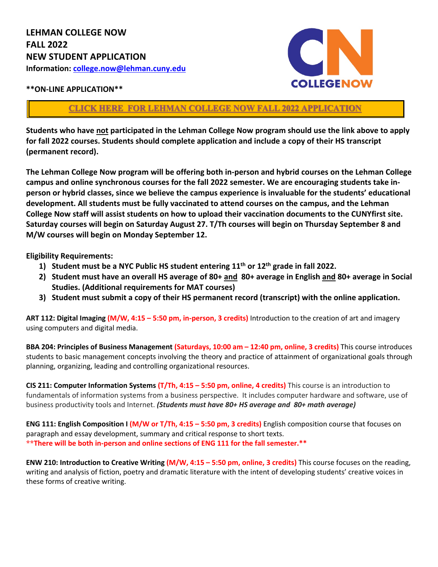

## **\*\*ON-LINE APPLICATION\*\***

## **[CLICK HERE FOR LEHMAN COLLEGE](https://tmg-forms.lehman.edu/CollegeNow/cn_formentry.jsp?FormType=NEW) NOW FALL 2022 APPLICATION**

**Students who have not participated in the Lehman College Now program should use the link above to apply for fall 2022 courses. Students should complete application and include a copy of their HS transcript (permanent record).**

**The Lehman College Now program will be offering both in-person and hybrid courses on the Lehman College campus and online synchronous courses for the fall 2022 semester. We are encouraging students take inperson or hybrid classes, since we believe the campus experience is invaluable for the students' educational development. All students must be fully vaccinated to attend courses on the campus, and the Lehman College Now staff will assist students on how to upload their vaccination documents to the CUNYfirst site. Saturday courses will begin on Saturday August 27. T/Th courses will begin on Thursday September 8 and M/W courses will begin on Monday September 12.** 

**Eligibility Requirements:** 

- **1) Student must be a NYC Public HS student entering 11th or 12th grade in fall 2022.**
- **2) Student must have an overall HS average of 80+ and 80+ average in English and 80+ average in Social Studies. (Additional requirements for MAT courses)**
- **3) Student must submit a copy of their HS permanent record (transcript) with the online application.**

**ART 112: Digital Imaging (M/W, 4:15 – 5:50 pm, in-person, 3 credits)** Introduction to the creation of art and imagery using computers and digital media.

**BBA 204: Principles of Business Management (Saturdays, 10:00 am – 12:40 pm, online, 3 credits)** This course introduces students to basic management concepts involving the theory and practice of attainment of organizational goals through planning, organizing, leading and controlling organizational resources.

**CIS 211: Computer Information Systems (T/Th, 4:15 – 5:50 pm, online, 4 credits)** This course is an introduction to fundamentals of information systems from a business perspective. It includes computer hardware and software, use of business productivity tools and Internet. *(Students must have 80+ HS average and 80+ math average)*

**ENG 111: English Composition I (M/W or T/Th, 4:15 – 5:50 pm, 3 credits)** English composition course that focuses on paragraph and essay development, summary and critical response to short texts. **\*\*There will be both in-person and online sections of ENG 111 for the fall semester.\*\***

**ENW 210: Introduction to Creative Writing (M/W, 4:15 – 5:50 pm, online, 3 credits)** This course focuses on the reading, writing and analysis of fiction, poetry and dramatic literature with the intent of developing students' creative voices in these forms of creative writing.